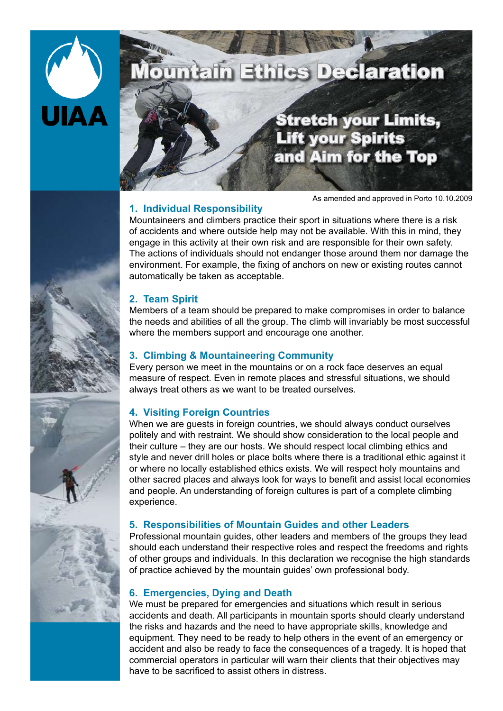

# ountain Ethics Declaration

# Stretch your Limits, Lift your Spirits and Aim for the Top

# **1. Individual Responsibility**

As amended and approved in Porto 10.10.2009

Mountaineers and climbers practice their sport in situations where there is a risk of accidents and where outside help may not be available. With this in mind, they engage in this activity at their own risk and are responsible for their own safety. The actions of individuals should not endanger those around them nor damage the environment. For example, the fixing of anchors on new or existing routes cannot automatically be taken as acceptable.

### **2. Team Spirit**

Members of a team should be prepared to make compromises in order to balance the needs and abilities of all the group. The climb will invariably be most successful where the members support and encourage one another.

## **3. Climbing & Mountaineering Community**

Every person we meet in the mountains or on a rock face deserves an equal measure of respect. Even in remote places and stressful situations, we should always treat others as we want to be treated ourselves.

# **4. Visiting Foreign Countries**

When we are guests in foreign countries, we should always conduct ourselves politely and with restraint. We should show consideration to the local people and their culture – they are our hosts. We should respect local climbing ethics and style and never drill holes or place bolts where there is a traditional ethic against it or where no locally established ethics exists. We will respect holy mountains and other sacred places and always look for ways to benefit and assist local economies and people. An understanding of foreign cultures is part of a complete climbing experience.

### **5. Responsibilities of Mountain Guides and other Leaders**

Professional mountain guides, other leaders and members of the groups they lead should each understand their respective roles and respect the freedoms and rights of other groups and individuals. In this declaration we recognise the high standards of practice achieved by the mountain guides' own professional body.

# **6. Emergencies, Dying and Death**

We must be prepared for emergencies and situations which result in serious accidents and death. All participants in mountain sports should clearly understand the risks and hazards and the need to have appropriate skills, knowledge and equipment. They need to be ready to help others in the event of an emergency or accident and also be ready to face the consequences of a tragedy. It is hoped that commercial operators in particular will warn their clients that their objectives may have to be sacrificed to assist others in distress.